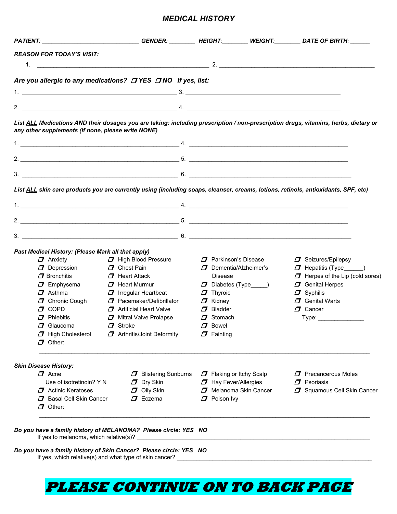### *MEDICAL HISTORY*

|                                                                                | PATIENT: ______________________________GENDER: ________ HEIGHT:________ WEIGHT:________ DATE OF BIRTH: ______                                                                                                                                                                                    |                                                                               |                                                                                                                                     |
|--------------------------------------------------------------------------------|--------------------------------------------------------------------------------------------------------------------------------------------------------------------------------------------------------------------------------------------------------------------------------------------------|-------------------------------------------------------------------------------|-------------------------------------------------------------------------------------------------------------------------------------|
| <b>REASON FOR TODAY'S VISIT:</b>                                               |                                                                                                                                                                                                                                                                                                  |                                                                               |                                                                                                                                     |
|                                                                                |                                                                                                                                                                                                                                                                                                  |                                                                               |                                                                                                                                     |
|                                                                                | Are you allergic to any medications? <b>ONES</b> ONO If yes, list:                                                                                                                                                                                                                               |                                                                               |                                                                                                                                     |
|                                                                                |                                                                                                                                                                                                                                                                                                  |                                                                               |                                                                                                                                     |
|                                                                                | $1.$ $3.$ $3.$                                                                                                                                                                                                                                                                                   |                                                                               |                                                                                                                                     |
|                                                                                | $2.$ $4.$                                                                                                                                                                                                                                                                                        |                                                                               |                                                                                                                                     |
|                                                                                |                                                                                                                                                                                                                                                                                                  |                                                                               | List ALL Medications AND their dosages you are taking: including prescription / non-prescription drugs, vitamins, herbs, dietary or |
| any other supplements (if none, please write NONE)                             |                                                                                                                                                                                                                                                                                                  |                                                                               |                                                                                                                                     |
|                                                                                | 1. $\frac{1}{2}$ 4. $\frac{1}{2}$ 4. $\frac{1}{2}$ 4. $\frac{1}{2}$ 4. $\frac{1}{2}$ 4. $\frac{1}{2}$ 4. $\frac{1}{2}$ 4. $\frac{1}{2}$ 4. $\frac{1}{2}$ 4. $\frac{1}{2}$ 4. $\frac{1}{2}$ 4. $\frac{1}{2}$ 4. $\frac{1}{2}$ 4. $\frac{1}{2}$ 4. $\frac{1}{2}$ 4. $\frac{1}{2}$ 4. $\frac{1}{2}$ |                                                                               |                                                                                                                                     |
|                                                                                |                                                                                                                                                                                                                                                                                                  |                                                                               |                                                                                                                                     |
|                                                                                |                                                                                                                                                                                                                                                                                                  |                                                                               |                                                                                                                                     |
|                                                                                |                                                                                                                                                                                                                                                                                                  |                                                                               |                                                                                                                                     |
|                                                                                |                                                                                                                                                                                                                                                                                                  |                                                                               |                                                                                                                                     |
|                                                                                | List ALL skin care products you are currently using (including soaps, cleanser, creams, lotions, retinols, antioxidants, SPF, etc)                                                                                                                                                               |                                                                               |                                                                                                                                     |
|                                                                                | 1. $\frac{1}{2}$ 4. $\frac{1}{2}$ 4. $\frac{1}{2}$ 4. $\frac{1}{2}$ 4. $\frac{1}{2}$ 4. $\frac{1}{2}$ 4. $\frac{1}{2}$ 4. $\frac{1}{2}$ 4. $\frac{1}{2}$ 4. $\frac{1}{2}$ 4. $\frac{1}{2}$ 4. $\frac{1}{2}$ 4. $\frac{1}{2}$ 4. $\frac{1}{2}$ 4. $\frac{1}{2}$ 4. $\frac{1}{2}$ 4. $\frac{1}{2}$ |                                                                               |                                                                                                                                     |
|                                                                                |                                                                                                                                                                                                                                                                                                  |                                                                               |                                                                                                                                     |
|                                                                                |                                                                                                                                                                                                                                                                                                  |                                                                               |                                                                                                                                     |
|                                                                                |                                                                                                                                                                                                                                                                                                  |                                                                               |                                                                                                                                     |
|                                                                                |                                                                                                                                                                                                                                                                                                  |                                                                               |                                                                                                                                     |
| Past Medical History: (Please Mark all that apply)                             |                                                                                                                                                                                                                                                                                                  |                                                                               |                                                                                                                                     |
| $\boldsymbol{\mathcal{J}}$ Anxiety                                             | $\Box$ High Blood Pressure<br>$\Box$ Chest Pain                                                                                                                                                                                                                                                  | $\Box$ Parkinson's Disease<br>$\boldsymbol{\mathcal{I}}$ Dementia/Alzheimer's | $\Box$ Seizures/Epilepsy                                                                                                            |
| $\boldsymbol{\mathcal{J}}$ Depression<br>$\boldsymbol{\mathcal{J}}$ Bronchitis | $\boldsymbol{\mathcal{J}}$ Heart Attack                                                                                                                                                                                                                                                          | Disease                                                                       | $\Box$ Hepatitis (Type $\Box$<br>$\Box$ Herpes of the Lip (cold sores)                                                              |
| $\boldsymbol{\mathcal{J}}$ Emphysema                                           | $\boldsymbol{\mathcal{J}}$ Heart Murmur                                                                                                                                                                                                                                                          | $\Box$ Diabetes (Type____)                                                    | $\Box$ Genital Herpes                                                                                                               |
| $\boldsymbol{\mathcal{J}}$ Asthma                                              | $\boldsymbol{\varPi}$ Irregular Heartbeat                                                                                                                                                                                                                                                        | $\boldsymbol{\mathcal{J}}$ Thyroid                                            | $\boldsymbol{\mathcal{J}}$ Syphilis                                                                                                 |
|                                                                                | $\Box$ Chronic Cough $\Box$ Pacemaker/Defibrillator                                                                                                                                                                                                                                              | $\boldsymbol{\mathcal{J}}$ Kidney                                             | $\Box$ Genital Warts                                                                                                                |
| $\sigma$ copp                                                                  | $\Box$ Artificial Heart Valve                                                                                                                                                                                                                                                                    | $\Box$ Bladder                                                                | $\boldsymbol{\mathcal{D}}$ Cancer                                                                                                   |
| $\boldsymbol{\mathcal{I}}$ Phlebitis                                           | <b>J</b> Mitral Valve Prolapse                                                                                                                                                                                                                                                                   | $\Box$ Stomach                                                                | Type: ____________                                                                                                                  |
| $\boldsymbol{\varPi}$ Glaucoma                                                 | $\Box$ Stroke                                                                                                                                                                                                                                                                                    | $\boldsymbol{\mathcal{J}}$ Bowel                                              |                                                                                                                                     |
| $\Box$ High Cholesterol                                                        | <b>7</b> Arthritis/Joint Deformity                                                                                                                                                                                                                                                               | $\boldsymbol{\mathcal{J}}$ Fainting                                           |                                                                                                                                     |
| $\boldsymbol{\varPi}$ Other:                                                   |                                                                                                                                                                                                                                                                                                  |                                                                               |                                                                                                                                     |
|                                                                                |                                                                                                                                                                                                                                                                                                  |                                                                               |                                                                                                                                     |
| <b>Skin Disease History:</b>                                                   |                                                                                                                                                                                                                                                                                                  |                                                                               |                                                                                                                                     |
| $\boldsymbol{\mathcal{I}}$ Acne                                                | $\Box$ Blistering Sunburns                                                                                                                                                                                                                                                                       | $\Box$ Flaking or Itchy Scalp                                                 | $\Box$ Precancerous Moles                                                                                                           |
| Use of isotretinoin? Y N                                                       | $\boldsymbol{\mathcal{I}}$ Dry Skin                                                                                                                                                                                                                                                              | $\Box$ Hay Fever/Allergies                                                    | $\boldsymbol{\mathcal{D}}$ Psoriasis                                                                                                |
| $\Box$ Actinic Keratoses                                                       | $\Box$ Oily Skin                                                                                                                                                                                                                                                                                 | <b>J</b> Melanoma Skin Cancer                                                 | <b>7</b> Squamous Cell Skin Cancer                                                                                                  |
| <b>7</b> Basal Cell Skin Cancer                                                | $\boldsymbol{\mathcal{I}}$ Eczema                                                                                                                                                                                                                                                                | $\Box$ Poison Ivy                                                             |                                                                                                                                     |
| $\boldsymbol{\mathcal{I}}$ Other:                                              |                                                                                                                                                                                                                                                                                                  |                                                                               |                                                                                                                                     |
|                                                                                |                                                                                                                                                                                                                                                                                                  |                                                                               |                                                                                                                                     |
|                                                                                |                                                                                                                                                                                                                                                                                                  |                                                                               |                                                                                                                                     |
|                                                                                | Do you have a family history of MELANOMA? Please circle: YES NO                                                                                                                                                                                                                                  |                                                                               |                                                                                                                                     |
|                                                                                |                                                                                                                                                                                                                                                                                                  |                                                                               |                                                                                                                                     |
|                                                                                | Do you have a family history of Skin Cancer? Please circle: YES NO                                                                                                                                                                                                                               |                                                                               |                                                                                                                                     |
|                                                                                | If yes, which relative(s) and what type of skin cancer? _________                                                                                                                                                                                                                                |                                                                               |                                                                                                                                     |

# **PLEASE CONTINUE ON TO BACK PAGE**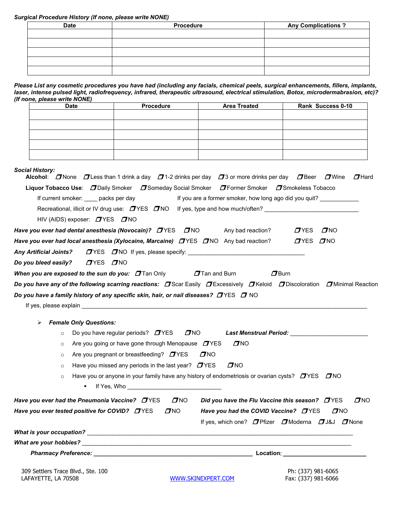#### *Surgical Procedure History (If none, please write NONE)*

| <b>Date</b> | Procedure | <b>Any Complications?</b> |  |
|-------------|-----------|---------------------------|--|
|             |           |                           |  |
|             |           |                           |  |
|             |           |                           |  |
|             |           |                           |  |
|             |           |                           |  |

*Please List any cosmetic procedures you have had (including any facials, chemical peels, surgical enhancements, fillers, implants, laser, intense pulsed light, radiofrequency, infrared, therapeutic ultrasound, electrical stimulation, Botox, microdermabrasion, etc)? (If none, please write NONE)*

|                                           |                                                     | <b>Procedure</b>                                                                                                | <b>Area Treated</b>                                                                                                                          | Rank Success 0-10                                                                                                                                               |
|-------------------------------------------|-----------------------------------------------------|-----------------------------------------------------------------------------------------------------------------|----------------------------------------------------------------------------------------------------------------------------------------------|-----------------------------------------------------------------------------------------------------------------------------------------------------------------|
|                                           |                                                     |                                                                                                                 |                                                                                                                                              |                                                                                                                                                                 |
|                                           |                                                     |                                                                                                                 |                                                                                                                                              |                                                                                                                                                                 |
|                                           |                                                     |                                                                                                                 |                                                                                                                                              |                                                                                                                                                                 |
|                                           |                                                     |                                                                                                                 |                                                                                                                                              |                                                                                                                                                                 |
|                                           |                                                     |                                                                                                                 |                                                                                                                                              |                                                                                                                                                                 |
| <b>Social History:</b>                    |                                                     |                                                                                                                 | <b>Alcohol:</b> $\Box$ None $\Box$ Less than 1 drink a day $\Box$ 1-2 drinks per day $\Box$ 3 or more drinks per day $\Box$ Beer $\Box$ Wine | $\boldsymbol{\mathcal{D}}$ Hard                                                                                                                                 |
|                                           |                                                     |                                                                                                                 | Liquor Tobacco Use: DDaily Smoker D Someday Social Smoker D Former Smoker D Smokeless Tobacco                                                |                                                                                                                                                                 |
|                                           |                                                     | If current smoker: _____ packs per day                                                                          | If you are a former smoker, how long ago did you quit? ____________                                                                          |                                                                                                                                                                 |
|                                           |                                                     |                                                                                                                 | Recreational, illicit or IV drug use: $\Box$ YES $\Box$ NO If yes, type and how much/often?                                                  |                                                                                                                                                                 |
|                                           | HIV (AIDS) exposer: $\Box$ YES $\Box$ NO            |                                                                                                                 |                                                                                                                                              |                                                                                                                                                                 |
|                                           |                                                     | Have you ever had dental anesthesia (Novocain)? $D$ YES $D$ NO                                                  | Any bad reaction?                                                                                                                            | $\sigma$ NO<br>$T$ YES                                                                                                                                          |
|                                           |                                                     | Have you ever had local anesthesia (Xylocaine, Marcaine) $D$ YES $D$ NO Any bad reaction?                       |                                                                                                                                              | $TYES$ $TNO$                                                                                                                                                    |
|                                           |                                                     |                                                                                                                 |                                                                                                                                              |                                                                                                                                                                 |
|                                           |                                                     |                                                                                                                 |                                                                                                                                              |                                                                                                                                                                 |
|                                           |                                                     |                                                                                                                 |                                                                                                                                              |                                                                                                                                                                 |
|                                           |                                                     | When you are exposed to the sun do you: $\,\varDelta$ Tan Only                                                  | $\sigma$ Tan and Burn                                                                                                                        | $\sigma$ Burn                                                                                                                                                   |
|                                           |                                                     |                                                                                                                 |                                                                                                                                              |                                                                                                                                                                 |
|                                           |                                                     |                                                                                                                 |                                                                                                                                              | Do you have any of the following scarring reactions: $\varpi$ Scar Easily $\varpi$ Excessively $\varpi$ Keloid $\varpi$ Discoloration $\varpi$ Minimal Reaction |
|                                           |                                                     | Do you have a family history of any specific skin, hair, or nail diseases? $\varpi$ YES $\varpi$ NO             |                                                                                                                                              |                                                                                                                                                                 |
|                                           |                                                     |                                                                                                                 |                                                                                                                                              |                                                                                                                                                                 |
| $\blacktriangleright$                     | <b>Female Only Questions:</b>                       |                                                                                                                 |                                                                                                                                              |                                                                                                                                                                 |
|                                           | $\circ$                                             | Do you have regular periods? $\Box$ YES                                                                         | $\sigma$ NO                                                                                                                                  | Last Menstrual Period: National Assembly Property Assembly                                                                                                      |
|                                           | $\circ$                                             | Are you going or have gone through Menopause $\Box$ YES                                                         | $D$ NO                                                                                                                                       |                                                                                                                                                                 |
|                                           | $\circ$                                             | Are you pregnant or breastfeeding? $\Box$ YES                                                                   | DNO                                                                                                                                          |                                                                                                                                                                 |
|                                           | $\circ$                                             | Have you missed any periods in the last year? $\Box$ YES                                                        | $D$ NO                                                                                                                                       |                                                                                                                                                                 |
|                                           | $\circ$                                             | If Yes, Who are all the set of the set of the set of the set of the set of the set of the set of the set of the | Have you or anyone in your family have any history of endometriosis or ovarian cysts? $D$ YES $D$ NO                                         |                                                                                                                                                                 |
|                                           |                                                     |                                                                                                                 |                                                                                                                                              |                                                                                                                                                                 |
|                                           | Have you ever had the Pneumonia Vaccine? $\Box$ YES | $\sigma$ NO                                                                                                     | Did you have the Flu Vaccine this season? <b>TYES</b>                                                                                        | $\sigma$ <sub>NO</sub>                                                                                                                                          |
|                                           | Have you ever tested positive for COVID? $D$ YES    | $\sigma$ <sub>NO</sub>                                                                                          | Have you had the COVID Vaccine? DYES                                                                                                         | $D$ NO                                                                                                                                                          |
| Do you bleed easily? $\Box$ YES $\Box$ NO |                                                     |                                                                                                                 |                                                                                                                                              | If yes, which one? $\Box$ Pfizer $\Box$ Moderna $\Box$ J&J $\Box$ None                                                                                          |
|                                           |                                                     |                                                                                                                 |                                                                                                                                              |                                                                                                                                                                 |

WWW.SKINEXPERT.COM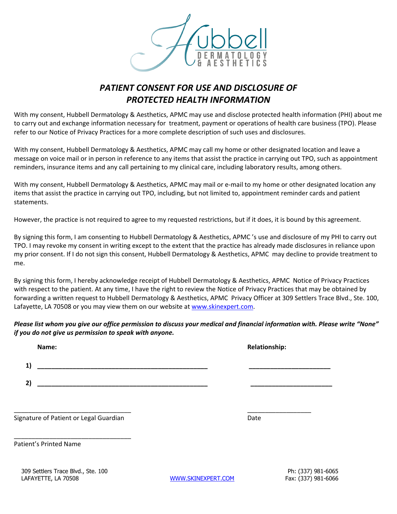

## *PATIENT CONSENT FOR USE AND DISCLOSURE OF PROTECTED HEALTH INFORMATION*

With my consent, Hubbell Dermatology & Aesthetics, APMC may use and disclose protected health information (PHI) about me to carry out and exchange information necessary for treatment, payment or operations of health care business (TPO). Please refer to our Notice of Privacy Practices for a more complete description of such uses and disclosures.

With my consent, Hubbell Dermatology & Aesthetics, APMC may call my home or other designated location and leave a message on voice mail or in person in reference to any items that assist the practice in carrying out TPO, such as appointment reminders, insurance items and any call pertaining to my clinical care, including laboratory results, among others.

With my consent, Hubbell Dermatology & Aesthetics, APMC may mail or e-mail to my home or other designated location any items that assist the practice in carrying out TPO, including, but not limited to, appointment reminder cards and patient statements.

However, the practice is not required to agree to my requested restrictions, but if it does, it is bound by this agreement.

By signing this form, I am consenting to Hubbell Dermatology & Aesthetics, APMC 's use and disclosure of my PHI to carry out TPO. I may revoke my consent in writing except to the extent that the practice has already made disclosures in reliance upon my prior consent. If I do not sign this consent, Hubbell Dermatology & Aesthetics, APMC may decline to provide treatment to me.

By signing this form, I hereby acknowledge receipt of Hubbell Dermatology & Aesthetics, APMC Notice of Privacy Practices with respect to the patient. At any time, I have the right to review the Notice of Privacy Practices that may be obtained by forwarding a written request to Hubbell Dermatology & Aesthetics, APMC Privacy Officer at 309 Settlers Trace Blvd., Ste. 100, Lafayette, LA 70508 or you may view them on our website a[t www.skinexpert.com.](http://www.skinexpert.com/)

*Please list whom you give our office permission to discuss your medical and financial information with. Please write "None" if you do not give us permission to speak with anyone.*

| Name: | <b>Relationship:</b> |
|-------|----------------------|
| 11    |                      |
| 2)    |                      |
|       |                      |
|       |                      |

Signature of Patient or Legal Guardian Date Date of Patient or Legal Guardian Date

\_\_\_\_\_\_\_\_\_\_\_\_\_\_\_\_\_\_\_\_\_\_\_\_\_\_\_\_\_\_\_\_\_

Patient's Printed Name

WWW.SKINEXPERT.COM